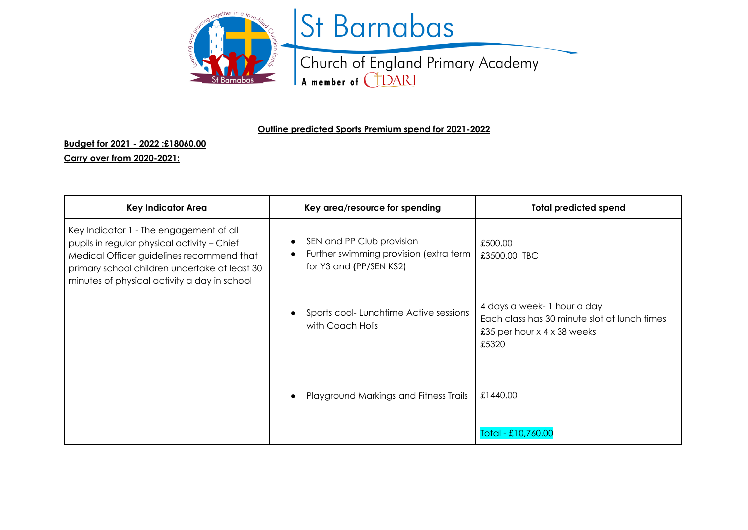

## St Barnabas

Church of England Primary Academy A member of CDARI

## **Outline predicted Sports Premium spend for 2021-2022**

## **Budget for 2021 - 2022 :£18060.00**

## **Carry over from 2020-2021:**

| <b>Key Indicator Area</b>                                                                                                                                                                                                            | Key area/resource for spending                                                                 | <b>Total predicted spend</b>                                                                                            |
|--------------------------------------------------------------------------------------------------------------------------------------------------------------------------------------------------------------------------------------|------------------------------------------------------------------------------------------------|-------------------------------------------------------------------------------------------------------------------------|
| Key Indicator 1 - The engagement of all<br>pupils in regular physical activity - Chief<br>Medical Officer guidelines recommend that<br>primary school children undertake at least 30<br>minutes of physical activity a day in school | SEN and PP Club provision<br>Further swimming provision (extra term<br>for Y3 and {PP/SEN KS2) | £500.00<br>£3500.00 TBC                                                                                                 |
|                                                                                                                                                                                                                                      | Sports cool-Lunchtime Active sessions<br>with Coach Holis                                      | 4 days a week- 1 hour a day<br>Each class has 30 minute slot at lunch times<br>£35 per hour $x$ 4 $x$ 38 weeks<br>£5320 |
|                                                                                                                                                                                                                                      | Playground Markings and Fitness Trails                                                         | £1440.00                                                                                                                |
|                                                                                                                                                                                                                                      |                                                                                                | Total - £10,760.00                                                                                                      |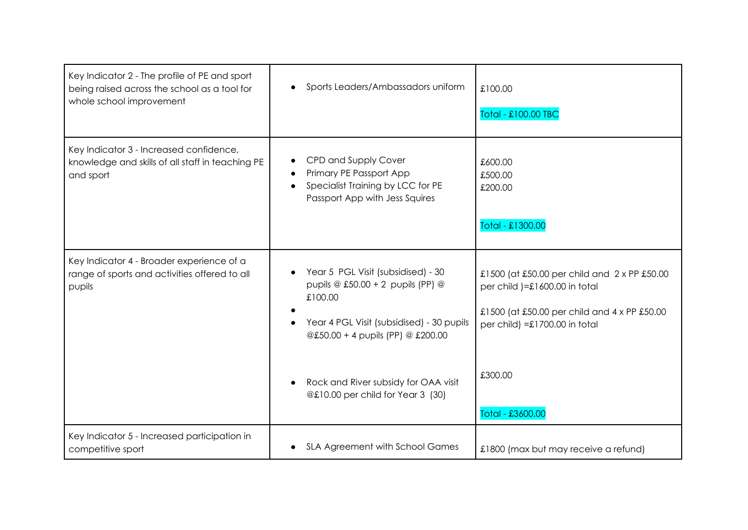| Key Indicator 2 - The profile of PE and sport<br>being raised across the school as a tool for<br>whole school improvement | Sports Leaders/Ambassadors uniform                                                                                                                                                                                                                | £100.00<br>Total - £100.00 TBC                                                                                                                                                                   |
|---------------------------------------------------------------------------------------------------------------------------|---------------------------------------------------------------------------------------------------------------------------------------------------------------------------------------------------------------------------------------------------|--------------------------------------------------------------------------------------------------------------------------------------------------------------------------------------------------|
| Key Indicator 3 - Increased confidence,<br>knowledge and skills of all staff in teaching PE<br>and sport                  | CPD and Supply Cover<br>Primary PE Passport App<br>Specialist Training by LCC for PE<br>Passport App with Jess Squires                                                                                                                            | £600.00<br>£500.00<br>£200.00<br>Total - £1300.00                                                                                                                                                |
| Key Indicator 4 - Broader experience of a<br>range of sports and activities offered to all<br>pupils                      | Year 5 PGL Visit (subsidised) - 30<br>pupils @ £50.00 + 2 pupils (PP) @<br>£100.00<br>Year 4 PGL Visit (subsidised) - 30 pupils<br>@£50.00 + 4 pupils (PP) @ £200.00<br>Rock and River subsidy for OAA visit<br>@£10.00 per child for Year 3 (30) | £1500 (at £50.00 per child and 2 x PP £50.00<br>per child )=£1600.00 in total<br>£1500 (at £50.00 per child and 4 x PP £50.00<br>per child) = $£1700.00$ in total<br>£300.00<br>Total - £3600.00 |
| Key Indicator 5 - Increased participation in<br>competitive sport                                                         | SLA Agreement with School Games                                                                                                                                                                                                                   | £1800 (max but may receive a refund)                                                                                                                                                             |